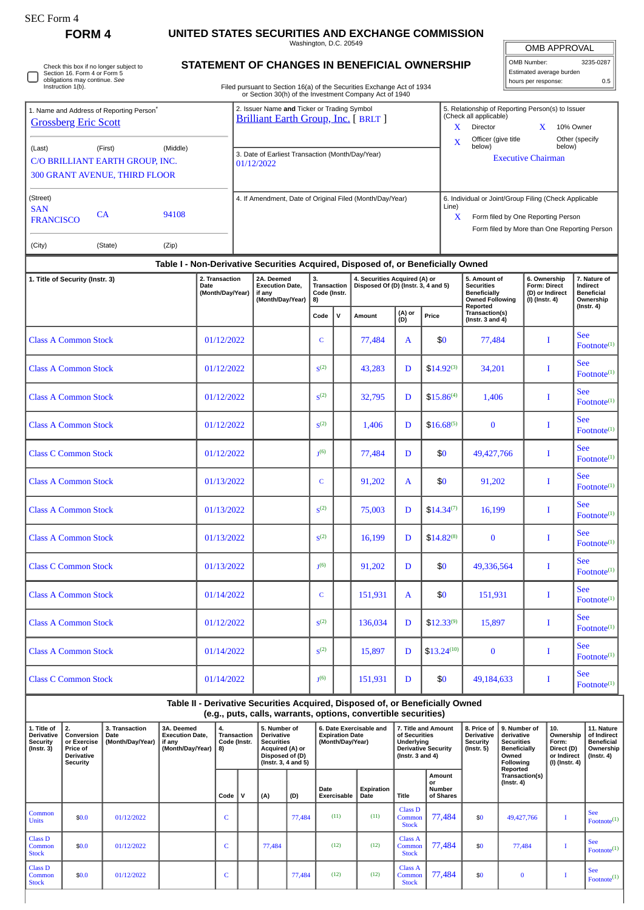| <b>SEC Form 4</b><br><b>FORM4</b>                                                                       |                                            |                                                                                     | UNITED STATES SECURITIES AND EXCHANGE COMMISSION                                                                                                |                                                |                                                                                             |                                                                      |                                                                                                               |                            |                                                                                    |                                                                                                |                                                                                                                                             |                                                                                |  |
|---------------------------------------------------------------------------------------------------------|--------------------------------------------|-------------------------------------------------------------------------------------|-------------------------------------------------------------------------------------------------------------------------------------------------|------------------------------------------------|---------------------------------------------------------------------------------------------|----------------------------------------------------------------------|---------------------------------------------------------------------------------------------------------------|----------------------------|------------------------------------------------------------------------------------|------------------------------------------------------------------------------------------------|---------------------------------------------------------------------------------------------------------------------------------------------|--------------------------------------------------------------------------------|--|
|                                                                                                         |                                            |                                                                                     |                                                                                                                                                 | Washington, D.C. 20549                         |                                                                                             |                                                                      | <b>OMB APPROVAL</b>                                                                                           |                            |                                                                                    |                                                                                                |                                                                                                                                             |                                                                                |  |
| Check this box if no longer subject to<br>Section 16. Form 4 or Form 5<br>obligations may continue. See |                                            |                                                                                     | STATEMENT OF CHANGES IN BENEFICIAL OWNERSHIP                                                                                                    |                                                |                                                                                             |                                                                      |                                                                                                               |                            | OMB Number:<br>3235-0287<br>Estimated average burden<br>hours per response:<br>0.5 |                                                                                                |                                                                                                                                             |                                                                                |  |
| Instruction 1(b).                                                                                       |                                            |                                                                                     | Filed pursuant to Section 16(a) of the Securities Exchange Act of 1934<br>or Section 30(h) of the Investment Company Act of 1940                |                                                |                                                                                             |                                                                      |                                                                                                               |                            |                                                                                    |                                                                                                |                                                                                                                                             |                                                                                |  |
| 1. Name and Address of Reporting Person <sup>®</sup><br><b>Grossberg Eric Scott</b>                     |                                            | 2. Issuer Name and Ticker or Trading Symbol<br>Brilliant Earth Group, Inc. [ BRLT ] |                                                                                                                                                 |                                                |                                                                                             |                                                                      | 5. Relationship of Reporting Person(s) to Issuer<br>(Check all applicable)<br>X<br>Director<br>X<br>10% Owner |                            |                                                                                    |                                                                                                |                                                                                                                                             |                                                                                |  |
| (Middle)<br>(Last)<br>(First)<br>C/O BRILLIANT EARTH GROUP, INC.<br>300 GRANT AVENUE, THIRD FLOOR       |                                            | 3. Date of Earliest Transaction (Month/Day/Year)<br>01/12/2022                      |                                                                                                                                                 |                                                | Officer (give title<br>Other (specify<br>X<br>below)<br>below)<br><b>Executive Chairman</b> |                                                                      |                                                                                                               |                            |                                                                                    |                                                                                                |                                                                                                                                             |                                                                                |  |
| (Street)<br><b>SAN</b><br>CA<br>94108<br><b>FRANCISCO</b>                                               |                                            | 4. If Amendment, Date of Original Filed (Month/Day/Year)<br>Line)<br>X              |                                                                                                                                                 |                                                |                                                                                             |                                                                      |                                                                                                               |                            |                                                                                    |                                                                                                | 6. Individual or Joint/Group Filing (Check Applicable<br>Form filed by One Reporting Person<br>Form filed by More than One Reporting Person |                                                                                |  |
| (City)<br>(Zip)<br>(State)                                                                              |                                            |                                                                                     |                                                                                                                                                 |                                                |                                                                                             |                                                                      |                                                                                                               |                            |                                                                                    |                                                                                                |                                                                                                                                             |                                                                                |  |
|                                                                                                         |                                            |                                                                                     | Table I - Non-Derivative Securities Acquired, Disposed of, or Beneficially Owned                                                                |                                                |                                                                                             |                                                                      |                                                                                                               |                            |                                                                                    |                                                                                                |                                                                                                                                             |                                                                                |  |
| 1. Title of Security (Instr. 3)                                                                         | 2. Transaction<br>Date<br>(Month/Day/Year) |                                                                                     | 2A. Deemed<br><b>Execution Date,</b><br>if any<br>(Month/Day/Year)                                                                              | 3.<br><b>Transaction</b><br>Code (Instr.<br>8) |                                                                                             | 4. Securities Acquired (A) or<br>Disposed Of (D) (Instr. 3, 4 and 5) |                                                                                                               |                            |                                                                                    | 5. Amount of<br><b>Securities</b><br><b>Beneficially</b><br><b>Owned Following</b><br>Reported | 6. Ownership<br>Form: Direct<br>(D) or Indirect<br>$(I)$ (Instr. 4)                                                                         | 7. Nature of<br>Indirect<br><b>Beneficial</b><br>Ownership<br>$($ Instr. 4 $)$ |  |
|                                                                                                         |                                            |                                                                                     |                                                                                                                                                 | v<br>Code                                      |                                                                                             | Amount                                                               | (A) or<br>(D)                                                                                                 | Price                      |                                                                                    | Transaction(s)<br>(Instr. $3$ and $4$ )                                                        |                                                                                                                                             |                                                                                |  |
| <b>Class A Common Stock</b>                                                                             | 01/12/2022                                 |                                                                                     |                                                                                                                                                 | C                                              |                                                                                             | 77,484                                                               | A                                                                                                             | \$0                        |                                                                                    | 77,484                                                                                         | T                                                                                                                                           | <b>See</b><br>$\text{Footnote}^{(1)}$                                          |  |
| <b>Class A Common Stock</b>                                                                             | 01/12/2022                                 |                                                                                     |                                                                                                                                                 | $S^{(2)}$                                      |                                                                                             | 43,283                                                               | D                                                                                                             | $$14.92^{(3)}$             |                                                                                    | 34,201                                                                                         | I                                                                                                                                           | <b>See</b><br>Footnote <sup>(1)</sup>                                          |  |
| <b>Class A Common Stock</b>                                                                             | 01/12/2022                                 |                                                                                     |                                                                                                                                                 | S <sup>(2)</sup>                               |                                                                                             | 32,795                                                               | D                                                                                                             | $$15.86^{(4)}$             |                                                                                    | 1,406                                                                                          | T                                                                                                                                           | <b>See</b><br>$\text{Footnote}^{(1)}$                                          |  |
| <b>Class A Common Stock</b>                                                                             | 01/12/2022                                 |                                                                                     |                                                                                                                                                 | S <sup>(2)</sup>                               |                                                                                             | 1,406                                                                | D                                                                                                             | $$16.68^{(5)}$             |                                                                                    | $\bf{0}$                                                                                       | I                                                                                                                                           | <b>See</b><br>Footnote <sup>(1)</sup>                                          |  |
| <b>Class C Common Stock</b>                                                                             | 01/12/2022                                 |                                                                                     |                                                                                                                                                 | I <sub>(6)</sub>                               |                                                                                             | 77,484                                                               | D                                                                                                             | \$0                        |                                                                                    | 49.427.766                                                                                     | I                                                                                                                                           | <b>See</b><br>$\text{Footnote}^{(1)}$                                          |  |
| <b>Class A Common Stock</b>                                                                             | 01/13/2022                                 |                                                                                     |                                                                                                                                                 | C                                              |                                                                                             | 91,202                                                               | A                                                                                                             | \$0                        |                                                                                    | 91,202                                                                                         | Т                                                                                                                                           | <b>See</b><br>Footnote <sup>(1)</sup>                                          |  |
| <b>Class A Common Stock</b>                                                                             | 01/13/2022                                 |                                                                                     |                                                                                                                                                 | S <sup>(2)</sup>                               |                                                                                             | 75,003                                                               | D                                                                                                             | $$14.34^{(7)}$             |                                                                                    | 16,199                                                                                         | $\bf{I}$                                                                                                                                    | <b>See</b><br>$\mbox{Footnote}^{(1)}$                                          |  |
| <b>Class A Common Stock</b>                                                                             | 01/13/2022                                 |                                                                                     |                                                                                                                                                 | S <sup>(2)</sup>                               |                                                                                             | 16,199<br>D                                                          |                                                                                                               | $$14.82^{(8)}$<br>$\bf{0}$ |                                                                                    | I                                                                                              | <b>See</b><br>Footnote <sup>(1)</sup>                                                                                                       |                                                                                |  |
| <b>Class C Common Stock</b>                                                                             | 01/13/2022                                 |                                                                                     |                                                                                                                                                 | I <sub>(6)</sub>                               |                                                                                             | 91,202                                                               | D                                                                                                             | \$0                        |                                                                                    | 49,336,564                                                                                     | Ι                                                                                                                                           | <b>See</b><br>$\text{Footnote}^{(1)}$                                          |  |
| <b>Class A Common Stock</b>                                                                             | 01/14/2022                                 |                                                                                     |                                                                                                                                                 | $\mathsf{C}$                                   |                                                                                             | 151,931                                                              | A                                                                                                             | \$0                        |                                                                                    | 151,931                                                                                        | $\bf{I}$                                                                                                                                    | <b>See</b><br>Footnote <sup>(1)</sup>                                          |  |
| <b>Class A Common Stock</b>                                                                             | 01/12/2022                                 |                                                                                     |                                                                                                                                                 | S <sup>(2)</sup>                               |                                                                                             | 136,034                                                              | D                                                                                                             | $$12.33^{(9)}$             |                                                                                    | 15,897                                                                                         | Ι                                                                                                                                           | <b>See</b><br>Footnote <sup>(1)</sup>                                          |  |
| <b>Class A Common Stock</b>                                                                             | 01/14/2022                                 |                                                                                     |                                                                                                                                                 | S <sup>(2)</sup>                               |                                                                                             | 15,897                                                               | D                                                                                                             | $$13.24^{(10)}$            |                                                                                    | $\bf{0}$                                                                                       | I                                                                                                                                           | <b>See</b><br>$\textbf{Footnote}^{(1)}$                                        |  |
| <b>Class C Common Stock</b>                                                                             | 01/14/2022                                 |                                                                                     |                                                                                                                                                 | J(6)                                           |                                                                                             | 151,931                                                              | D                                                                                                             | \$0                        |                                                                                    | 49,184,633                                                                                     | I                                                                                                                                           | <b>See</b><br>$\text{Footnote}^{(1)}$                                          |  |
|                                                                                                         |                                            |                                                                                     | Table II - Derivative Securities Acquired, Disposed of, or Beneficially Owned<br>(e.g., puts, calls, warrants, options, convertible securities) |                                                |                                                                                             |                                                                      |                                                                                                               |                            |                                                                                    |                                                                                                |                                                                                                                                             |                                                                                |  |

| 1. Title of<br><b>Derivative</b><br><b>Security</b><br>$($ Instr. 3 $)$ | 2.<br>Conversion<br>or Exercise<br>Price of<br><b>Derivative</b><br>Security | 3. Transaction<br>Date<br>(Month/Day/Year) | 3A. Deemed<br><b>Execution Date.</b><br>if any<br>(Month/Day/Year)   8) | 4.<br><b>Transaction</b><br>Code (Instr. | 5. Number of<br><b>Derivative</b><br><b>Securities</b><br>Acquired (A) or<br>Disposed of (D)<br>$($ lnstr. 3, 4 and 5 $)$ |        | 6. Date Exercisable and<br><b>Expiration Date</b><br>(Month/Day/Year) |                    | 7. Title and Amount<br>of Securities<br>Underlying<br><b>Derivative Security</b><br>(Instr. $3$ and $4$ ) |                                     | 8. Price of<br><b>Derivative</b><br>Security<br>$($ Instr. 5 $)$ | 9. Number of<br>derivative<br><b>Securities</b><br><b>Beneficially</b><br>Owned<br><b>Following</b><br>Reported | 10.<br>Ownership<br>Form:<br>Direct (D)<br>or Indirect<br>(I) (Instr. 4) | 11. Nature<br>of Indirect<br><b>Beneficial</b><br>Ownership<br>(Instr. 4) |
|-------------------------------------------------------------------------|------------------------------------------------------------------------------|--------------------------------------------|-------------------------------------------------------------------------|------------------------------------------|---------------------------------------------------------------------------------------------------------------------------|--------|-----------------------------------------------------------------------|--------------------|-----------------------------------------------------------------------------------------------------------|-------------------------------------|------------------------------------------------------------------|-----------------------------------------------------------------------------------------------------------------|--------------------------------------------------------------------------|---------------------------------------------------------------------------|
|                                                                         |                                                                              |                                            |                                                                         | Code                                     | (A)                                                                                                                       | (D)    | Date<br><b>Exercisable</b>                                            | Expiration<br>Date | Title                                                                                                     | Amount<br>or<br>Number<br>of Shares |                                                                  | Transaction(s)<br>$($ Instr. 4 $)$                                                                              |                                                                          |                                                                           |
| Common<br><b>Units</b>                                                  | \$0.0                                                                        | 01/12/2022                                 |                                                                         | C                                        |                                                                                                                           | 77,484 | (11)                                                                  | (11)               | <b>Class D</b><br>Common<br><b>Stock</b>                                                                  | 77,484                              | \$0                                                              | 49,427,766                                                                                                      |                                                                          | <b>See</b><br>Footnote $^{(1)}$                                           |
| <b>Class D</b><br>Common<br><b>Stock</b>                                | \$0.0                                                                        | 01/12/2022                                 |                                                                         | C                                        | 77,484                                                                                                                    |        | (12)                                                                  | (12)               | Class A<br>Common<br><b>Stock</b>                                                                         | 77,484                              | \$0                                                              | 77,484                                                                                                          |                                                                          | <b>See</b><br>Footnote $(1)$                                              |
| <b>Class D</b><br>Common<br><b>Stock</b>                                | \$0.0                                                                        | 01/12/2022                                 |                                                                         | u                                        |                                                                                                                           | 77,484 | (12)                                                                  | (12)               | <b>Class A</b><br>Common<br><b>Stock</b>                                                                  | 77,484                              | \$0                                                              | $\bf{0}$                                                                                                        |                                                                          | <b>See</b><br>Footnote $^{(1)}$                                           |